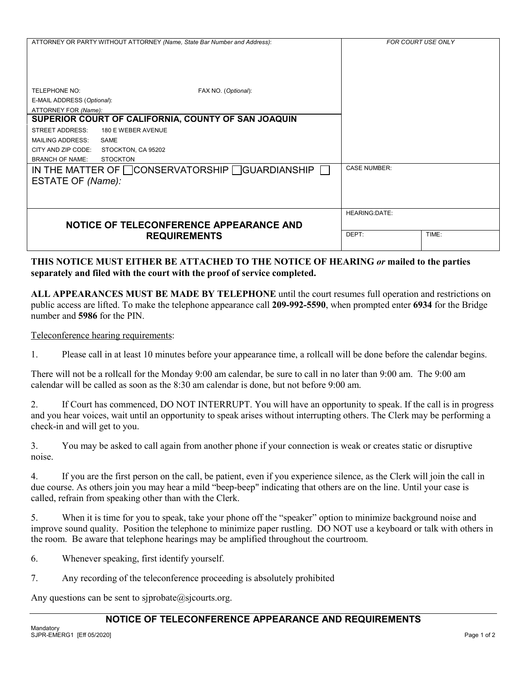|                                                     | ATTORNEY OR PARTY WITHOUT ATTORNEY (Name, State Bar Number and Address): | <b>FOR COURT USE ONLY</b> |       |
|-----------------------------------------------------|--------------------------------------------------------------------------|---------------------------|-------|
| TELEPHONE NO:                                       | FAX NO. (Optional):                                                      |                           |       |
| E-MAIL ADDRESS (Optional):                          |                                                                          |                           |       |
| ATTORNEY FOR (Name):                                |                                                                          |                           |       |
| SUPERIOR COURT OF CALIFORNIA, COUNTY OF SAN JOAQUIN |                                                                          |                           |       |
| STREET ADDRESS:                                     | 180 E WEBER AVENUE                                                       |                           |       |
| <b>MAILING ADDRESS:</b>                             | <b>SAME</b>                                                              |                           |       |
| CITY AND ZIP CODE:                                  | STOCKTON, CA 95202                                                       |                           |       |
| <b>BRANCH OF NAME:</b>                              | <b>STOCKTON</b>                                                          |                           |       |
| ESTATE OF (Name):                                   | IN THE MATTER OF CONSERVATORSHIP CUARDIANSHIP                            | <b>CASE NUMBER:</b>       |       |
|                                                     |                                                                          | <b>HEARING:DATE:</b>      |       |
|                                                     | NOTICE OF TELECONFERENCE APPEARANCE AND                                  |                           |       |
|                                                     | <b>REQUIREMENTS</b>                                                      | DEPT:                     | TIME: |

## **THIS NOTICE MUST EITHER BE ATTACHED TO THE NOTICE OF HEARING** *or* **mailed to the parties separately and filed with the court with the proof of service completed.**

**ALL APPEARANCES MUST BE MADE BY TELEPHONE** until the court resumes full operation and restrictions on public access are lifted. To make the telephone appearance call **209-992-5590**, when prompted enter **6934** for the Bridge number and **5986** for the PIN.

### Teleconference hearing requirements:

1. Please call in at least 10 minutes before your appearance time, a rollcall will be done before the calendar begins.

There will not be a rollcall for the Monday 9:00 am calendar, be sure to call in no later than 9:00 am. The 9:00 am calendar will be called as soon as the 8:30 am calendar is done, but not before 9:00 am.

2. If Court has commenced, DO NOT INTERRUPT. You will have an opportunity to speak. If the call is in progress and you hear voices, wait until an opportunity to speak arises without interrupting others. The Clerk may be performing a check-in and will get to you.

3. You may be asked to call again from another phone if your connection is weak or creates static or disruptive noise.

4. If you are the first person on the call, be patient, even if you experience silence, as the Clerk will join the call in due course. As others join you may hear a mild "beep-beep" indicating that others are on the line. Until your case is called, refrain from speaking other than with the Clerk.

5. When it is time for you to speak, take your phone off the "speaker" option to minimize background noise and improve sound quality. Position the telephone to minimize paper rustling. DO NOT use a keyboard or talk with others in the room. Be aware that telephone hearings may be amplified throughout the courtroom.

- 6. Whenever speaking, first identify yourself.
- 7. Any recording of the teleconference proceeding is absolutely prohibited

Any questions can be sent to siprobate $@$ sicourts.org.

## **NOTICE OF TELECONFERENCE APPEARANCE AND REQUIREMENTS**